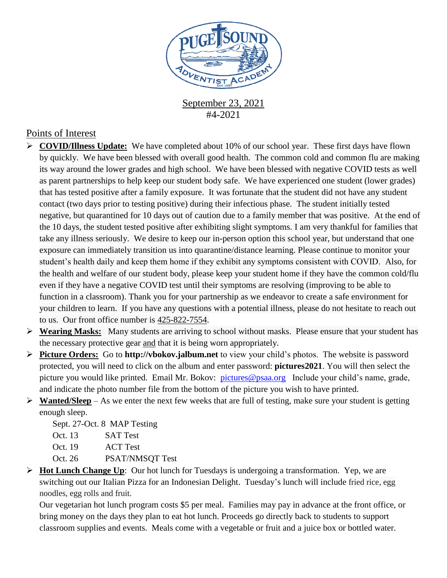

September 23, 2021 #4-2021

## Points of Interest

- **COVID/Illness Update:** We have completed about 10% of our school year. These first days have flown by quickly. We have been blessed with overall good health. The common cold and common flu are making its way around the lower grades and high school. We have been blessed with negative COVID tests as well as parent partnerships to help keep our student body safe. We have experienced one student (lower grades) that has tested positive after a family exposure. It was fortunate that the student did not have any student contact (two days prior to testing positive) during their infectious phase. The student initially tested negative, but quarantined for 10 days out of caution due to a family member that was positive. At the end of the 10 days, the student tested positive after exhibiting slight symptoms. I am very thankful for families that take any illness seriously. We desire to keep our in-person option this school year, but understand that one exposure can immediately transition us into quarantine/distance learning. Please continue to monitor your student's health daily and keep them home if they exhibit any symptoms consistent with COVID. Also, for the health and welfare of our student body, please keep your student home if they have the common cold/flu even if they have a negative COVID test until their symptoms are resolving (improving to be able to function in a classroom). Thank you for your partnership as we endeavor to create a safe environment for your children to learn. If you have any questions with a potential illness, please do not hesitate to reach out to us. Our front office number is [425-822-7554.](tel:425-822-7554)
- **Wearing Masks:** Many students are arriving to school without masks. Please ensure that your student has the necessary protective gear and that it is being worn appropriately.
- **Picture Orders:** Go to **http://vbokov.jalbum.net** to view your child's photos. The website is password protected, you will need to click on the album and enter password: **pictures2021**. You will then select the picture you would like printed. Email Mr. Bokov: [pictures@psaa.org](mailto:vbokov@psaa.org) Include your child's name, grade, and indicate the photo number file from the bottom of the picture you wish to have printed.
- **Wanted/Sleep** As we enter the next few weeks that are full of testing, make sure your student is getting enough sleep.

Sept. 27-Oct. 8 MAP Testing

- Oct. 13 SAT Test
- Oct. 19 ACT Test
- Oct. 26 PSAT/NMSOT Test
- **Hot Lunch Change Up**: Our hot lunch for Tuesdays is undergoing a transformation. Yep, we are switching out our Italian Pizza for an Indonesian Delight. Tuesday's lunch will include fried rice, egg noodles, egg rolls and fruit.

Our vegetarian hot lunch program costs \$5 per meal. Families may pay in advance at the front office, or bring money on the days they plan to eat hot lunch. Proceeds go directly back to students to support classroom supplies and events. Meals come with a vegetable or fruit and a juice box or bottled water.